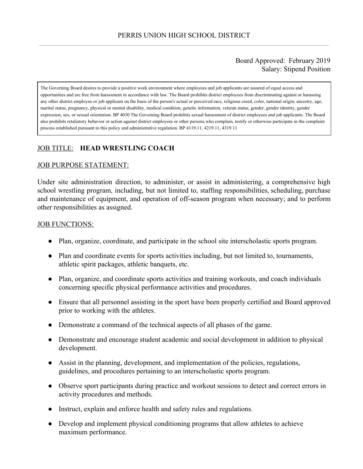## Board Approved: February 2019 Salary: Stipend Position

The Governing Board desires to provide a positive work environment where employees and job applicants are assured of equal access and opportunities and are free from harassment in accordance with law. The Board prohibits district employees from discriminating against or harassing any other district employee or job applicant on the basis of the person's actual or perceived race, religious creed, color, national origin, ancestry, age, marital status, pregnancy, physical or mental disability, medical condition, genetic information, veteran status, gender, gender identity, gender expression, sex, or sexual orientation. BP 4030 The Governing Board prohibits sexual harassment of district employees and job applicants. The Board also prohibits retaliatory behavior or action against district employees or other persons who complain, testify or otherwise participate in the complaint process established pursuant to this policy and administrative regulation. BP 4119.11, 4219.11, 4319.11

# JOB TITLE: **HEAD WRESTLING COACH**

### JOB PURPOSE STATEMENT:

Under site administration direction, to administer, or assist in administering, a comprehensive high school wrestling program, including, but not limited to, staffing responsibilities, scheduling, purchase and maintenance of equipment, and operation of off-season program when necessary; and to perform other responsibilities as assigned.

#### JOB FUNCTIONS:

- Plan, organize, coordinate, and participate in the school site interscholastic sports program.
- Plan and coordinate events for sports activities including, but not limited to, tournaments, athletic spirit packages, athletic banquets, etc.
- Plan, organize, and coordinate sports activities and training workouts, and coach individuals concerning specific physical performance activities and procedures.
- Ensure that all personnel assisting in the sport have been properly certified and Board approved prior to working with the athletes.
- Demonstrate a command of the technical aspects of all phases of the game.
- Demonstrate and encourage student academic and social development in addition to physical development.
- Assist in the planning, development, and implementation of the policies, regulations, guidelines, and procedures pertaining to an interscholastic sports program.
- Observe sport participants during practice and workout sessions to detect and correct errors in activity procedures and methods.
- Instruct, explain and enforce health and safety rules and regulations.
- Develop and implement physical conditioning programs that allow athletes to achieve maximum performance.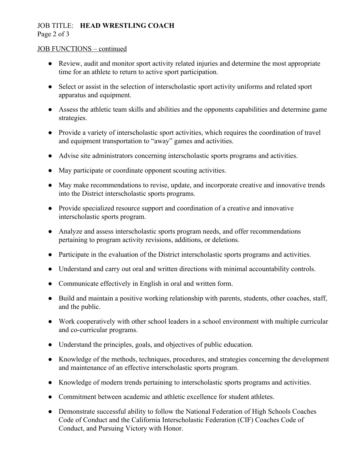# JOB TITLE: **HEAD WRESTLING COACH**

Page 2 of 3

## JOB FUNCTIONS – continued

- Review, audit and monitor sport activity related injuries and determine the most appropriate time for an athlete to return to active sport participation.
- Select or assist in the selection of interscholastic sport activity uniforms and related sport apparatus and equipment.
- Assess the athletic team skills and abilities and the opponents capabilities and determine game strategies.
- Provide a variety of interscholastic sport activities, which requires the coordination of travel and equipment transportation to "away" games and activities.
- Advise site administrators concerning interscholastic sports programs and activities.
- May participate or coordinate opponent scouting activities.
- May make recommendations to revise, update, and incorporate creative and innovative trends into the District interscholastic sports programs.
- Provide specialized resource support and coordination of a creative and innovative interscholastic sports program.
- Analyze and assess interscholastic sports program needs, and offer recommendations pertaining to program activity revisions, additions, or deletions.
- Participate in the evaluation of the District interscholastic sports programs and activities.
- Understand and carry out oral and written directions with minimal accountability controls.
- Communicate effectively in English in oral and written form.
- Build and maintain a positive working relationship with parents, students, other coaches, staff, and the public.
- Work cooperatively with other school leaders in a school environment with multiple curricular and co-curricular programs.
- Understand the principles, goals, and objectives of public education.
- Knowledge of the methods, techniques, procedures, and strategies concerning the development and maintenance of an effective interscholastic sports program.
- Knowledge of modern trends pertaining to interscholastic sports programs and activities.
- Commitment between academic and athletic excellence for student athletes.
- Demonstrate successful ability to follow the National Federation of High Schools Coaches Code of Conduct and the California Interscholastic Federation (CIF) Coaches Code of Conduct, and Pursuing Victory with Honor.